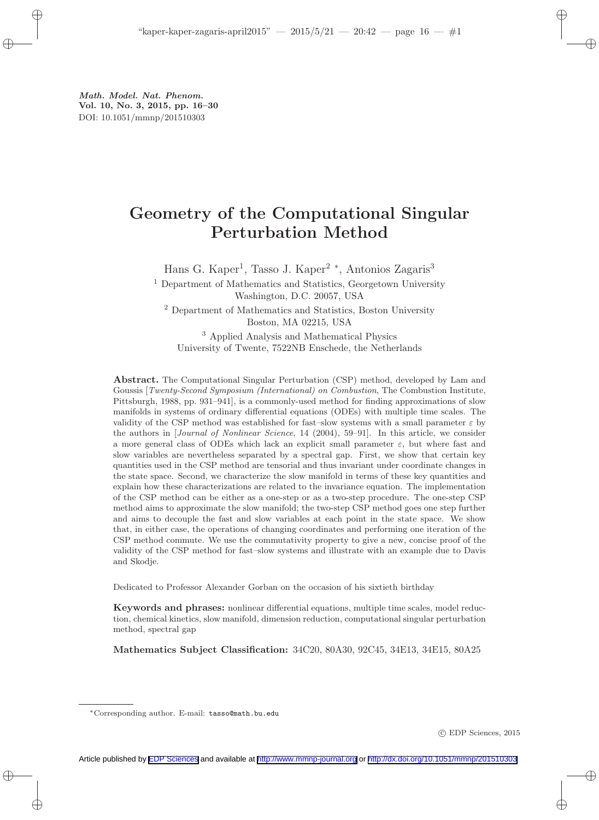# Geometry of the Computational Singular Perturbation Method

Hans G. Kaper<sup>1</sup>, Tasso J. Kaper<sup>2</sup> \*, Antonios Zagaris<sup>3</sup>

<sup>1</sup> Department of Mathematics and Statistics, Georgetown University Washington, D.C. 20057, USA

<sup>2</sup> Department of Mathematics and Statistics, Boston University Boston, MA 02215, USA

<sup>3</sup> Applied Analysis and Mathematical Physics University of Twente, 7522NB Enschede, the Netherlands

Abstract. The Computational Singular Perturbation (CSP) method, developed by Lam and Goussis [Twenty-Second Symposium (International) on Combustion, The Combustion Institute, Pittsburgh, 1988, pp. 931–941], is a commonly-used method for finding approximations of slow manifolds in systems of ordinary differential equations (ODEs) with multiple time scales. The validity of the CSP method was established for fast–slow systems with a small parameter  $\varepsilon$  by the authors in [Journal of Nonlinear Science, 14 (2004), 59–91]. In this article, we consider a more general class of ODEs which lack an explicit small parameter  $\varepsilon$ , but where fast and slow variables are nevertheless separated by a spectral gap. First, we show that certain key quantities used in the CSP method are tensorial and thus invariant under coordinate changes in the state space. Second, we characterize the slow manifold in terms of these key quantities and explain how these characterizations are related to the invariance equation. The implementation of the CSP method can be either as a one-step or as a two-step procedure. The one-step CSP method aims to approximate the slow manifold; the two-step CSP method goes one step further and aims to decouple the fast and slow variables at each point in the state space. We show that, in either case, the operations of changing coordinates and performing one iteration of the CSP method commute. We use the commutativity property to give a new, concise proof of the validity of the CSP method for fast–slow systems and illustrate with an example due to Davis and Skodje.

Dedicated to Professor Alexander Gorban on the occasion of his sixtieth birthday

Keywords and phrases: nonlinear differential equations, multiple time scales, model reduction, chemical kinetics, slow manifold, dimension reduction, computational singular perturbation method, spectral gap

Mathematics Subject Classification: 34C20, 80A30, 92C45, 34E13, 34E15, 80A25

c EDP Sciences, 2015

<sup>∗</sup>Corresponding author. E-mail: tasso@math.bu.edu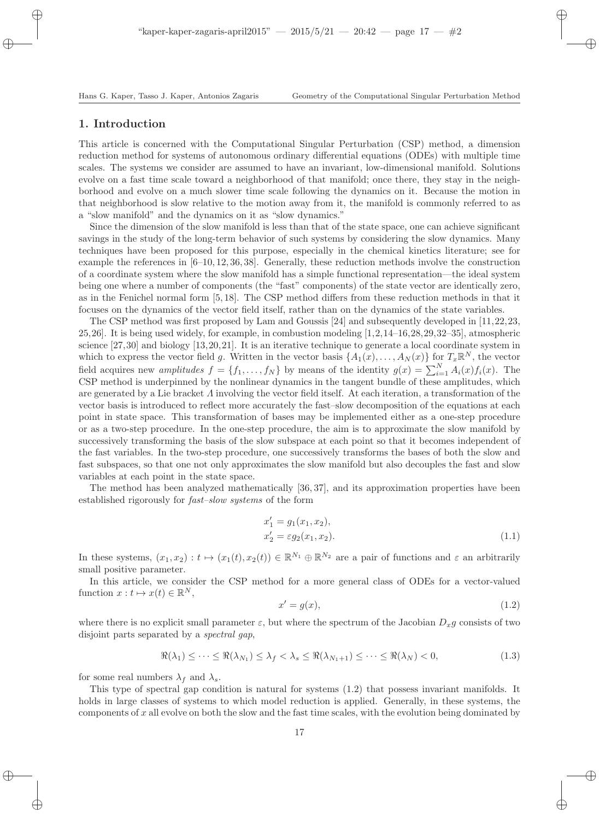# 1. Introduction

This article is concerned with the Computational Singular Perturbation (CSP) method, a dimension reduction method for systems of autonomous ordinary differential equations (ODEs) with multiple time scales. The systems we consider are assumed to have an invariant, low-dimensional manifold. Solutions evolve on a fast time scale toward a neighborhood of that manifold; once there, they stay in the neighborhood and evolve on a much slower time scale following the dynamics on it. Because the motion in that neighborhood is slow relative to the motion away from it, the manifold is commonly referred to as a "slow manifold" and the dynamics on it as "slow dynamics."

Since the dimension of the slow manifold is less than that of the state space, one can achieve significant savings in the study of the long-term behavior of such systems by considering the slow dynamics. Many techniques have been proposed for this purpose, especially in the chemical kinetics literature; see for example the references in [6–10, 12, 36, 38]. Generally, these reduction methods involve the construction of a coordinate system where the slow manifold has a simple functional representation—the ideal system being one where a number of components (the "fast" components) of the state vector are identically zero, as in the Fenichel normal form [5, 18]. The CSP method differs from these reduction methods in that it focuses on the dynamics of the vector field itself, rather than on the dynamics of the state variables.

The CSP method was first proposed by Lam and Goussis [24] and subsequently developed in [11,22,23, 25,26]. It is being used widely, for example, in combustion modeling [1,2,14–16,28,29,32–35], atmospheric science [27,30] and biology [13,20,21]. It is an iterative technique to generate a local coordinate system in which to express the vector field g. Written in the vector basis  $\{A_1(x),..., A_N(x)\}\$ for  $T_x\mathbb{R}^N$ , the vector field acquires new *amplitudes*  $f = \{f_1, \ldots, f_N\}$  by means of the identity  $g(x) = \sum_{i=1}^{N} A_i(x) f_i(x)$ . The CSP method is underpinned by the nonlinear dynamics in the tangent bundle of these amplitudes, which are generated by a Lie bracket Λ involving the vector field itself. At each iteration, a transformation of the vector basis is introduced to reflect more accurately the fast–slow decomposition of the equations at each point in state space. This transformation of bases may be implemented either as a one-step procedure or as a two-step procedure. In the one-step procedure, the aim is to approximate the slow manifold by successively transforming the basis of the slow subspace at each point so that it becomes independent of the fast variables. In the two-step procedure, one successively transforms the bases of both the slow and fast subspaces, so that one not only approximates the slow manifold but also decouples the fast and slow variables at each point in the state space.

The method has been analyzed mathematically [36, 37], and its approximation properties have been established rigorously for fast–slow systems of the form

$$
x'_1 = g_1(x_1, x_2),
$$
  
\n
$$
x'_2 = \varepsilon g_2(x_1, x_2).
$$
\n(1.1)

In these systems,  $(x_1, x_2) : t \mapsto (x_1(t), x_2(t)) \in \mathbb{R}^{N_1} \oplus \mathbb{R}^{N_2}$  are a pair of functions and  $\varepsilon$  an arbitrarily small positive parameter.

In this article, we consider the CSP method for a more general class of ODEs for a vector-valued function  $x: t \mapsto x(t) \in \mathbb{R}^N$ ,

$$
x' = g(x),\tag{1.2}
$$

where there is no explicit small parameter  $\varepsilon$ , but where the spectrum of the Jacobian  $D_x g$  consists of two disjoint parts separated by a spectral gap,

$$
\Re(\lambda_1) \leq \cdots \leq \Re(\lambda_{N_1}) \leq \lambda_f < \lambda_s \leq \Re(\lambda_{N_1+1}) \leq \cdots \leq \Re(\lambda_N) < 0,\tag{1.3}
$$

for some real numbers  $\lambda_f$  and  $\lambda_s$ .

This type of spectral gap condition is natural for systems (1.2) that possess invariant manifolds. It holds in large classes of systems to which model reduction is applied. Generally, in these systems, the components of  $x$  all evolve on both the slow and the fast time scales, with the evolution being dominated by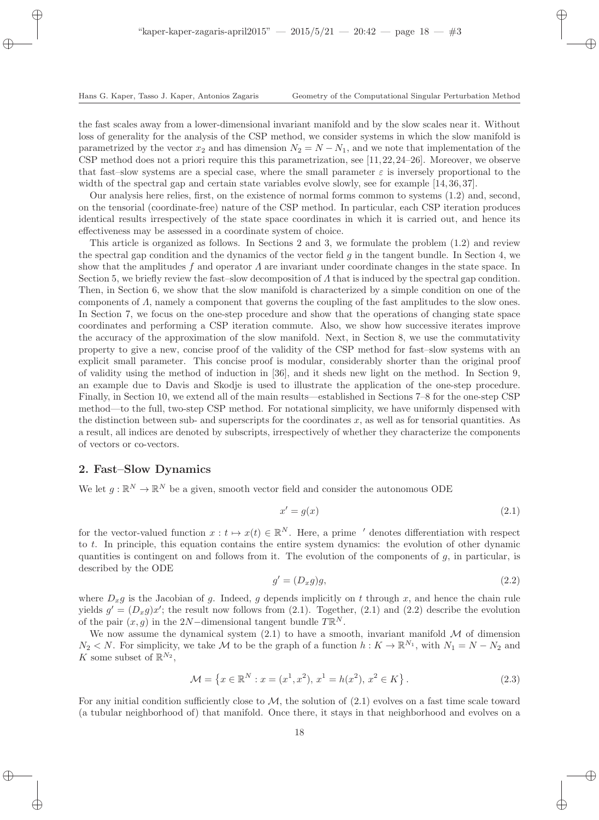the fast scales away from a lower-dimensional invariant manifold and by the slow scales near it. Without loss of generality for the analysis of the CSP method, we consider systems in which the slow manifold is parametrized by the vector  $x_2$  and has dimension  $N_2 = N - N_1$ , and we note that implementation of the CSP method does not a priori require this this parametrization, see [11, 22, 24–26]. Moreover, we observe that fast–slow systems are a special case, where the small parameter  $\varepsilon$  is inversely proportional to the width of the spectral gap and certain state variables evolve slowly, see for example [14, 36, 37].

Our analysis here relies, first, on the existence of normal forms common to systems (1.2) and, second, on the tensorial (coordinate-free) nature of the CSP method. In particular, each CSP iteration produces identical results irrespectively of the state space coordinates in which it is carried out, and hence its effectiveness may be assessed in a coordinate system of choice.

This article is organized as follows. In Sections 2 and 3, we formulate the problem (1.2) and review the spectral gap condition and the dynamics of the vector field g in the tangent bundle. In Section 4, we show that the amplitudes f and operator  $\Lambda$  are invariant under coordinate changes in the state space. In Section 5, we briefly review the fast–slow decomposition of  $\Lambda$  that is induced by the spectral gap condition. Then, in Section 6, we show that the slow manifold is characterized by a simple condition on one of the components of  $\Lambda$ , namely a component that governs the coupling of the fast amplitudes to the slow ones. In Section 7, we focus on the one-step procedure and show that the operations of changing state space coordinates and performing a CSP iteration commute. Also, we show how successive iterates improve the accuracy of the approximation of the slow manifold. Next, in Section 8, we use the commutativity property to give a new, concise proof of the validity of the CSP method for fast–slow systems with an explicit small parameter. This concise proof is modular, considerably shorter than the original proof of validity using the method of induction in [36], and it sheds new light on the method. In Section 9, an example due to Davis and Skodje is used to illustrate the application of the one-step procedure. Finally, in Section 10, we extend all of the main results—established in Sections 7–8 for the one-step CSP method—to the full, two-step CSP method. For notational simplicity, we have uniformly dispensed with the distinction between sub- and superscripts for the coordinates x, as well as for tensorial quantities. As a result, all indices are denoted by subscripts, irrespectively of whether they characterize the components of vectors or co-vectors.

# 2. Fast–Slow Dynamics

We let  $g: \mathbb{R}^N \to \mathbb{R}^N$  be a given, smooth vector field and consider the autonomous ODE

$$
x' = g(x) \tag{2.1}
$$

for the vector-valued function  $x : t \mapsto x(t) \in \mathbb{R}^N$ . Here, a prime ' denotes differentiation with respect to t. In principle, this equation contains the entire system dynamics: the evolution of other dynamic quantities is contingent on and follows from it. The evolution of the components of  $g$ , in particular, is described by the ODE

$$
g' = (D_x g)g,\t\t(2.2)
$$

where  $D_x g$  is the Jacobian of g. Indeed, g depends implicitly on t through x, and hence the chain rule yields  $g' = (D_x g)x'$ ; the result now follows from (2.1). Together, (2.1) and (2.2) describe the evolution of the pair  $(x, g)$  in the 2N-dimensional tangent bundle  $T\mathbb{R}^N$ .

We now assume the dynamical system  $(2.1)$  to have a smooth, invariant manifold M of dimension  $N_2 < N$ . For simplicity, we take M to be the graph of a function  $h: K \to \mathbb{R}^{N_1}$ , with  $N_1 = N - N_2$  and K some subset of  $\mathbb{R}^{N_2}$ ,

$$
\mathcal{M} = \left\{ x \in \mathbb{R}^N : x = (x^1, x^2), \, x^1 = h(x^2), \, x^2 \in K \right\}.
$$
\n
$$
(2.3)
$$

For any initial condition sufficiently close to  $M$ , the solution of  $(2.1)$  evolves on a fast time scale toward (a tubular neighborhood of) that manifold. Once there, it stays in that neighborhood and evolves on a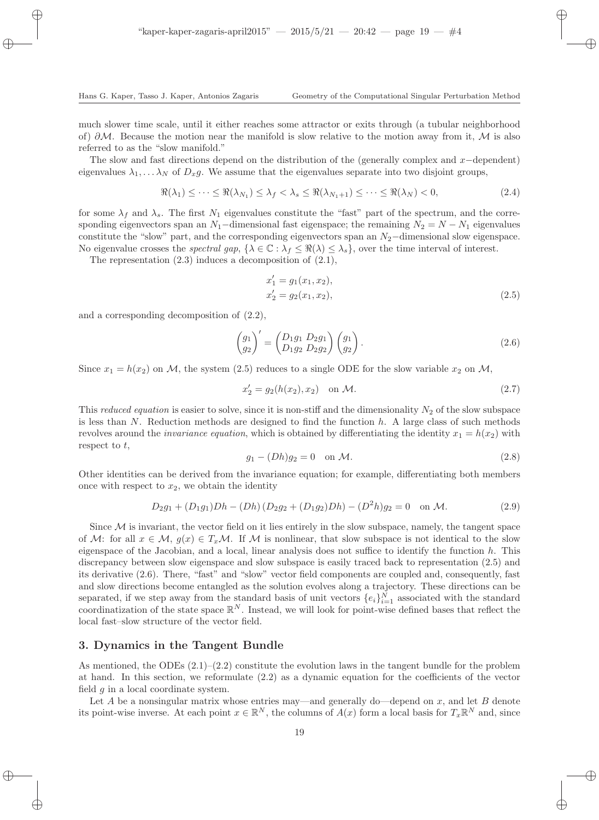much slower time scale, until it either reaches some attractor or exits through (a tubular neighborhood of)  $\partial M$ . Because the motion near the manifold is slow relative to the motion away from it, M is also referred to as the "slow manifold."

The slow and fast directions depend on the distribution of the (generally complex and  $x$  –dependent) eigenvalues  $\lambda_1, \ldots, \lambda_N$  of  $D_x g$ . We assume that the eigenvalues separate into two disjoint groups,

$$
\Re(\lambda_1) \leq \dots \leq \Re(\lambda_{N_1}) \leq \lambda_f < \lambda_s \leq \Re(\lambda_{N_1+1}) \leq \dots \leq \Re(\lambda_N) < 0,\tag{2.4}
$$

for some  $\lambda_f$  and  $\lambda_s$ . The first  $N_1$  eigenvalues constitute the "fast" part of the spectrum, and the corresponding eigenvectors span an  $N_1$ -dimensional fast eigenspace; the remaining  $N_2 = N - N_1$  eigenvalues constitute the "slow" part, and the corresponding eigenvectors span an  $N_2$ −dimensional slow eigenspace. No eigenvalue crosses the *spectral gap*,  $\{\lambda \in \mathbb{C} : \lambda_f \leq \Re(\lambda) \leq \lambda_s\}$ , over the time interval of interest.

The representation (2.3) induces a decomposition of (2.1),

$$
x'_1 = g_1(x_1, x_2),
$$
  
\n
$$
x'_2 = g_2(x_1, x_2),
$$
\n(2.5)

and a corresponding decomposition of (2.2),

$$
\begin{pmatrix} g_1 \\ g_2 \end{pmatrix}' = \begin{pmatrix} D_1 g_1 & D_2 g_1 \\ D_1 g_2 & D_2 g_2 \end{pmatrix} \begin{pmatrix} g_1 \\ g_2 \end{pmatrix} . \tag{2.6}
$$

Since  $x_1 = h(x_2)$  on M, the system (2.5) reduces to a single ODE for the slow variable  $x_2$  on M,

$$
x_2' = g_2(h(x_2), x_2) \quad \text{on } \mathcal{M}.
$$
 (2.7)

This reduced equation is easier to solve, since it is non-stiff and the dimensionality  $N_2$  of the slow subspace is less than  $N$ . Reduction methods are designed to find the function  $h$ . A large class of such methods revolves around the *invariance equation*, which is obtained by differentiating the identity  $x_1 = h(x_2)$  with respect to  $t$ ,

$$
g_1 - (Dh)g_2 = 0 \quad \text{on } \mathcal{M}.\tag{2.8}
$$

Other identities can be derived from the invariance equation; for example, differentiating both members once with respect to  $x_2$ , we obtain the identity

$$
D_2 g_1 + (D_1 g_1) Dh - (Dh) (D_2 g_2 + (D_1 g_2) Dh) - (D^2 h) g_2 = 0 \text{ on } \mathcal{M}.
$$
 (2.9)

Since  $M$  is invariant, the vector field on it lies entirely in the slow subspace, namely, the tangent space of M: for all  $x \in M$ ,  $g(x) \in T_xM$ . If M is nonlinear, that slow subspace is not identical to the slow eigenspace of the Jacobian, and a local, linear analysis does not suffice to identify the function  $h$ . This discrepancy between slow eigenspace and slow subspace is easily traced back to representation (2.5) and its derivative (2.6). There, "fast" and "slow" vector field components are coupled and, consequently, fast and slow directions become entangled as the solution evolves along a trajectory. These directions can be separated, if we step away from the standard basis of unit vectors  $\{e_i\}_{i=1}^N$  associated with the standard coordinatization of the state space  $\mathbb{R}^N$ . Instead, we will look for point-wise defined bases that reflect the local fast–slow structure of the vector field.

### 3. Dynamics in the Tangent Bundle

As mentioned, the ODEs  $(2.1)$ – $(2.2)$  constitute the evolution laws in the tangent bundle for the problem at hand. In this section, we reformulate (2.2) as a dynamic equation for the coefficients of the vector field  $q$  in a local coordinate system.

Let  $A$  be a nonsingular matrix whose entries may—and generally do—depend on  $x$ , and let  $B$  denote its point-wise inverse. At each point  $x \in \mathbb{R}^N$ , the columns of  $A(x)$  form a local basis for  $T_x \mathbb{R}^N$  and, since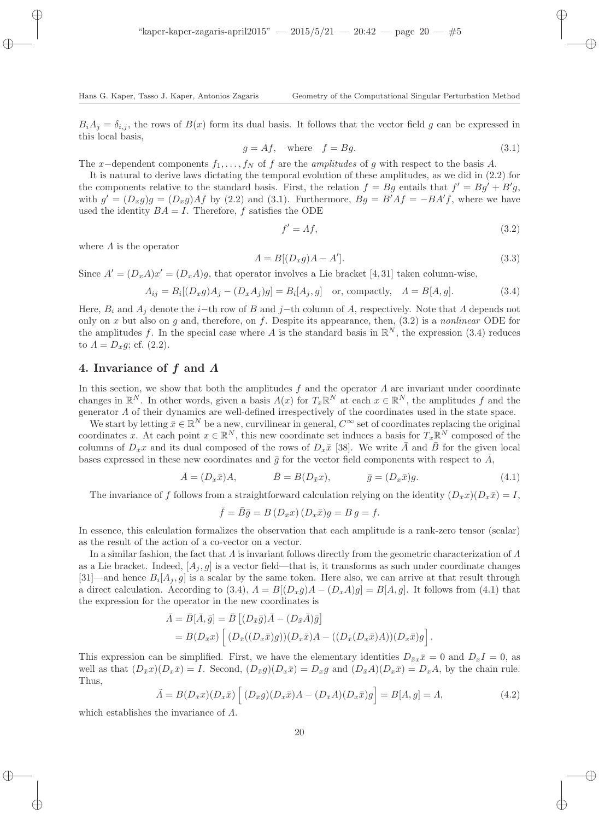$B_iA_i = \delta_{i,i}$ , the rows of  $B(x)$  form its dual basis. It follows that the vector field g can be expressed in this local basis,

$$
g = Af, \quad \text{where} \quad f = Bg. \tag{3.1}
$$

The x-dependent components  $f_1, \ldots, f_N$  of f are the amplitudes of g with respect to the basis A.

It is natural to derive laws dictating the temporal evolution of these amplitudes, as we did in (2.2) for the components relative to the standard basis. First, the relation  $f = Bg$  entails that  $f' = Bg' + B'g$ , with  $g' = (D_x g)g = (D_x g)Af$  by (2.2) and (3.1). Furthermore,  $Bg = B'Af = -BA'f$ , where we have used the identity  $BA = I$ . Therefore, f satisfies the ODE

$$
f' = Af,\tag{3.2}
$$

where  $\Lambda$  is the operator

$$
A = B[(D_x g)A - A']
$$
\n<sup>(3.3)</sup>

Since  $A' = (D_x A)x' = (D_x A)g$ , that operator involves a Lie bracket [4,31] taken column-wise,

$$
A_{ij} = B_i[(D_x g)A_j - (D_x A_j)g] = B_i[A_j, g] \text{ or, compactly, } A = B[A, g].
$$
 (3.4)

Here,  $B_i$  and  $A_j$  denote the i−th row of B and j−th column of A, respectively. Note that  $\Lambda$  depends not only on x but also on g and, therefore, on f. Despite its appearance, then,  $(3.2)$  is a nonlinear ODE for the amplitudes f. In the special case where A is the standard basis in  $\mathbb{R}^N$ , the expression (3.4) reduces to  $\Lambda = D_x g$ ; cf. (2.2).

# 4. Invariance of f and Λ

In this section, we show that both the amplitudes f and the operator  $\Lambda$  are invariant under coordinate changes in  $\mathbb{R}^N$ . In other words, given a basis  $A(x)$  for  $T_x\mathbb{R}^N$  at each  $x \in \mathbb{R}^N$ , the amplitudes f and the generator Λ of their dynamics are well-defined irrespectively of the coordinates used in the state space.

We start by letting  $\bar{x} \in \mathbb{R}^N$  be a new, curvilinear in general,  $C^\infty$  set of coordinates replacing the original coordinates x. At each point  $x \in \mathbb{R}^N$ , this new coordinate set induces a basis for  $T_x \mathbb{R}^N$  composed of the columns of  $D_{\bar{x}}x$  and its dual composed of the rows of  $D_x\bar{x}$  [38]. We write  $\bar{A}$  and  $\bar{B}$  for the given local bases expressed in these new coordinates and  $\bar{g}$  for the vector field components with respect to A,

$$
\bar{A} = (D_x \bar{x})A, \qquad \qquad \bar{B} = B(D_{\bar{x}}x), \qquad \qquad \bar{g} = (D_x \bar{x})g. \tag{4.1}
$$

The invariance of f follows from a straightforward calculation relying on the identity  $(D_{\bar{x}}x)(D_{\bar{x}}\bar{x})=I$ ,

$$
\bar{f} = \bar{B}\bar{g} = B(D_{\bar{x}}x)(D_x\bar{x})g = B g = f.
$$

In essence, this calculation formalizes the observation that each amplitude is a rank-zero tensor (scalar) as the result of the action of a co-vector on a vector.

In a similar fashion, the fact that  $\Lambda$  is invariant follows directly from the geometric characterization of  $\Lambda$ as a Lie bracket. Indeed,  $[A_i, g]$  is a vector field—that is, it transforms as such under coordinate changes [31]—and hence  $B_i[A_j, g]$  is a scalar by the same token. Here also, we can arrive at that result through a direct calculation. According to (3.4),  $A = B[(D_xq)A - (D_xA)q] = B[A,q]$ . It follows from (4.1) that the expression for the operator in the new coordinates is

$$
\bar{\Lambda} = \bar{B}[\bar{A}, \bar{g}] = \bar{B} \left[ (D_{\bar{x}} \bar{g}) \bar{A} - (D_{\bar{x}} \bar{A}) \bar{g} \right]
$$
  
= 
$$
B(D_{\bar{x}}x) \left[ (D_{\bar{x}}((D_x \bar{x})g))(D_x \bar{x})A - ((D_{\bar{x}}(D_x \bar{x})A))(D_x \bar{x})g \right].
$$

This expression can be simplified. First, we have the elementary identities  $D_{\bar{x}x}\bar{x}=0$  and  $D_xI=0$ , as well as that  $(D_{\bar{x}}x)(D_{\bar{x}}\bar{x}) = I$ . Second,  $(D_{\bar{x}}g)(D_{\bar{x}}\bar{x}) = D_xg$  and  $(D_{\bar{x}}A)(D_{\bar{x}}\bar{x}) = D_xA$ , by the chain rule. Thus,

$$
\tilde{A} = B(D_{\bar{x}}x)(D_x\bar{x}) \left[ (D_{\bar{x}}g)(D_x\bar{x})A - (D_{\bar{x}}A)(D_x\bar{x})g \right] = B[A,g] = \Lambda,
$$
\n(4.2)

which establishes the invariance of Λ.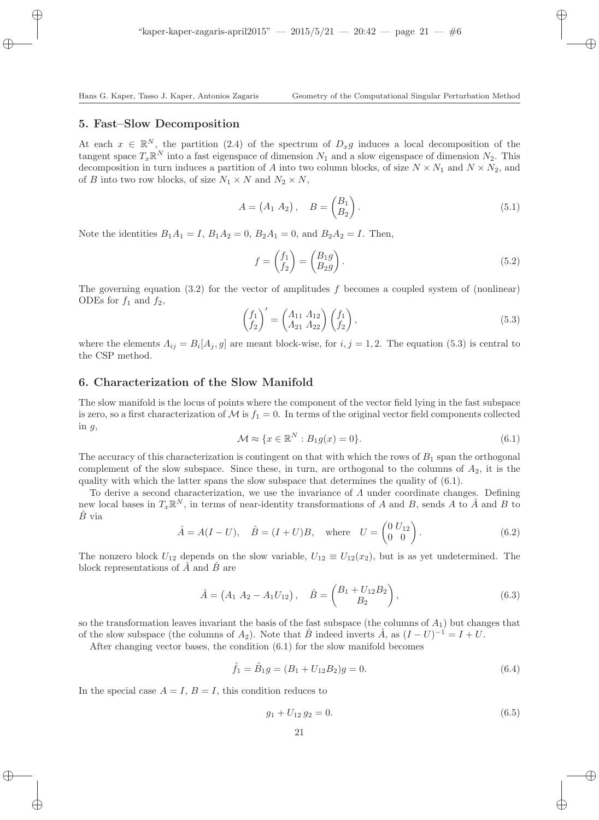# 5. Fast–Slow Decomposition

At each  $x \in \mathbb{R}^N$ , the partition (2.4) of the spectrum of  $D_x g$  induces a local decomposition of the tangent space  $T_x \mathbb{R}^N$  into a fast eigenspace of dimension  $N_1$  and a slow eigenspace of dimension  $N_2$ . This decomposition in turn induces a partition of A into two column blocks, of size  $N \times N_1$  and  $N \times N_2$ , and of B into two row blocks, of size  $N_1 \times N$  and  $N_2 \times N$ ,

$$
A = (A_1 \ A_2), \quad B = \begin{pmatrix} B_1 \\ B_2 \end{pmatrix}.
$$
 (5.1)

Note the identities  $B_1A_1 = I, B_1A_2 = 0, B_2A_1 = 0, \text{ and } B_2A_2 = I.$  Then,

$$
f = \begin{pmatrix} f_1 \\ f_2 \end{pmatrix} = \begin{pmatrix} B_1 g \\ B_2 g \end{pmatrix} . \tag{5.2}
$$

The governing equation  $(3.2)$  for the vector of amplitudes f becomes a coupled system of (nonlinear) ODEs for  $f_1$  and  $f_2$ ,

$$
\begin{pmatrix} f_1 \\ f_2 \end{pmatrix}' = \begin{pmatrix} A_{11} & A_{12} \\ A_{21} & A_{22} \end{pmatrix} \begin{pmatrix} f_1 \\ f_2 \end{pmatrix},
$$
\n(5.3)

where the elements  $\Lambda_{ij} = B_i[A_j, g]$  are meant block-wise, for  $i, j = 1, 2$ . The equation (5.3) is central to the CSP method.

# 6. Characterization of the Slow Manifold

The slow manifold is the locus of points where the component of the vector field lying in the fast subspace is zero, so a first characterization of  $M$  is  $f_1 = 0$ . In terms of the original vector field components collected in  $g$ ,

$$
\mathcal{M} \approx \{x \in \mathbb{R}^N : B_1 g(x) = 0\}.
$$
\n(6.1)

The accuracy of this characterization is contingent on that with which the rows of  $B_1$  span the orthogonal complement of the slow subspace. Since these, in turn, are orthogonal to the columns of  $A_2$ , it is the quality with which the latter spans the slow subspace that determines the quality of (6.1).

To derive a second characterization, we use the invariance of  $\Lambda$  under coordinate changes. Defining new local bases in  $T_x \mathbb{R}^N$ , in terms of near-identity transformations of A and B, sends A to  $\hat{A}$  and B to  $B$  via

$$
\hat{A} = A(I - U), \quad \hat{B} = (I + U)B, \text{ where } U = \begin{pmatrix} 0 & U_{12} \\ 0 & 0 \end{pmatrix}.
$$
 (6.2)

The nonzero block  $U_{12}$  depends on the slow variable,  $U_{12} \equiv U_{12}(x_2)$ , but is as yet undetermined. The block representations of  $\hat{A}$  and  $\hat{B}$  are

$$
\hat{A} = \begin{pmatrix} A_1 & A_2 - A_1 U_{12} \end{pmatrix}, \quad \hat{B} = \begin{pmatrix} B_1 + U_{12} B_2 \\ B_2 \end{pmatrix}, \tag{6.3}
$$

so the transformation leaves invariant the basis of the fast subspace (the columns of  $A_1$ ) but changes that of the slow subspace (the columns of  $A_2$ ). Note that  $\hat{B}$  indeed inverts  $\hat{A}$ , as  $(I-U)^{-1} = I + U$ .

After changing vector bases, the condition (6.1) for the slow manifold becomes

$$
\hat{f}_1 = \hat{B}_1 g = (B_1 + U_{12} B_2) g = 0.
$$
\n(6.4)

In the special case  $A = I$ ,  $B = I$ , this condition reduces to

$$
g_1 + U_{12} g_2 = 0. \t\t(6.5)
$$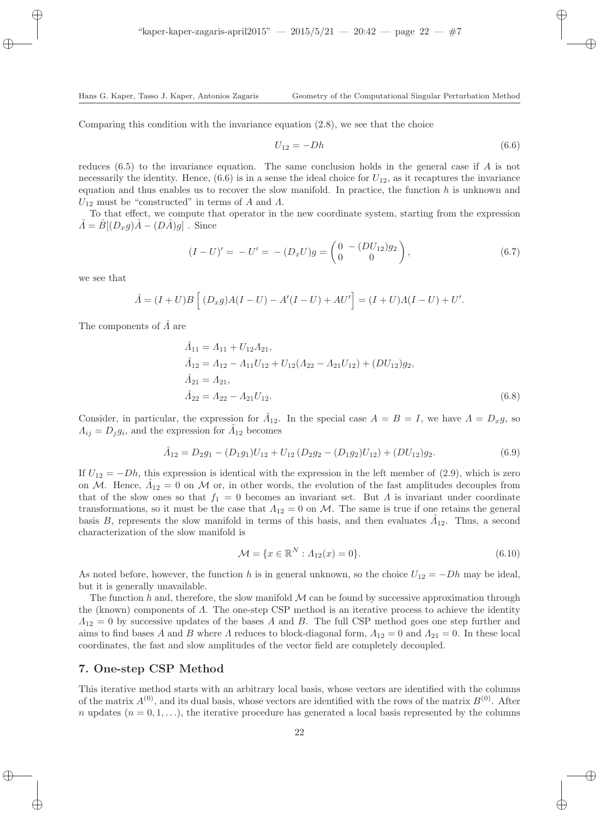Comparing this condition with the invariance equation  $(2.8)$ , we see that the choice

$$
U_{12} = -Dh \tag{6.6}
$$

reduces (6.5) to the invariance equation. The same conclusion holds in the general case if A is not necessarily the identity. Hence,  $(6.6)$  is in a sense the ideal choice for  $U_{12}$ , as it recaptures the invariance equation and thus enables us to recover the slow manifold. In practice, the function  $h$  is unknown and  $U_{12}$  must be "constructed" in terms of A and  $\Lambda$ .

To that effect, we compute that operator in the new coordinate system, starting from the expression  $\tilde{A} = \tilde{B}[(D_x g)\tilde{A} - (D\tilde{A})g]$ . Since

$$
(I - U)' = -U' = - (D_x U)g = \begin{pmatrix} 0 & - (DU_{12})g_2 \\ 0 & 0 \end{pmatrix},
$$
\n(6.7)

we see that

$$
\hat{A} = (I + U)B [(D_x g)A(I - U) - A'(I - U) + AU'] = (I + U)A(I - U) + U'.
$$

The components of  $\hat{A}$  are

$$
\hat{A}_{11} = A_{11} + U_{12}A_{21},
$$
\n
$$
\hat{A}_{12} = A_{12} - A_{11}U_{12} + U_{12}(A_{22} - A_{21}U_{12}) + (DU_{12})g_2,
$$
\n
$$
\hat{A}_{21} = A_{21},
$$
\n
$$
\hat{A}_{22} = A_{22} - A_{21}U_{12}.
$$
\n(6.8)

Consider, in particular, the expression for  $\hat{A}_{12}$ . In the special case  $A = B = I$ , we have  $\hat{A} = D_x g$ , so  $\Lambda_{ij} = D_j g_i$ , and the expression for  $\hat{\Lambda}_{12}$  becomes

$$
\hat{A}_{12} = D_2 g_1 - (D_1 g_1) U_{12} + U_{12} (D_2 g_2 - (D_1 g_2) U_{12}) + (DU_{12}) g_2.
$$
\n(6.9)

If  $U_{12} = -Dh$ , this expression is identical with the expression in the left member of (2.9), which is zero on M. Hence,  $\hat{A}_{12} = 0$  on M or, in other words, the evolution of the fast amplitudes decouples from that of the slow ones so that  $f_1 = 0$  becomes an invariant set. But  $\Lambda$  is invariant under coordinate transformations, so it must be the case that  $\Lambda_{12} = 0$  on M. The same is true if one retains the general basis B, represents the slow manifold in terms of this basis, and then evaluates  $\hat{A}_{12}$ . Thus, a second characterization of the slow manifold is

$$
\mathcal{M} = \{x \in \mathbb{R}^N : A_{12}(x) = 0\}.
$$
\n(6.10)

As noted before, however, the function h is in general unknown, so the choice  $U_{12} = -Dh$  may be ideal, but it is generally unavailable.

The function h and, therefore, the slow manifold  $\mathcal M$  can be found by successive approximation through the (known) components of  $\Lambda$ . The one-step CSP method is an iterative process to achieve the identity  $\Lambda_{12} = 0$  by successive updates of the bases A and B. The full CSP method goes one step further and aims to find bases A and B where A reduces to block-diagonal form,  $A_{12} = 0$  and  $A_{21} = 0$ . In these local coordinates, the fast and slow amplitudes of the vector field are completely decoupled.

# 7. One-step CSP Method

This iterative method starts with an arbitrary local basis, whose vectors are identified with the columns of the matrix  $A^{(0)}$ , and its dual basis, whose vectors are identified with the rows of the matrix  $B^{(0)}$ . After n updates  $(n = 0, 1, \ldots)$ , the iterative procedure has generated a local basis represented by the columns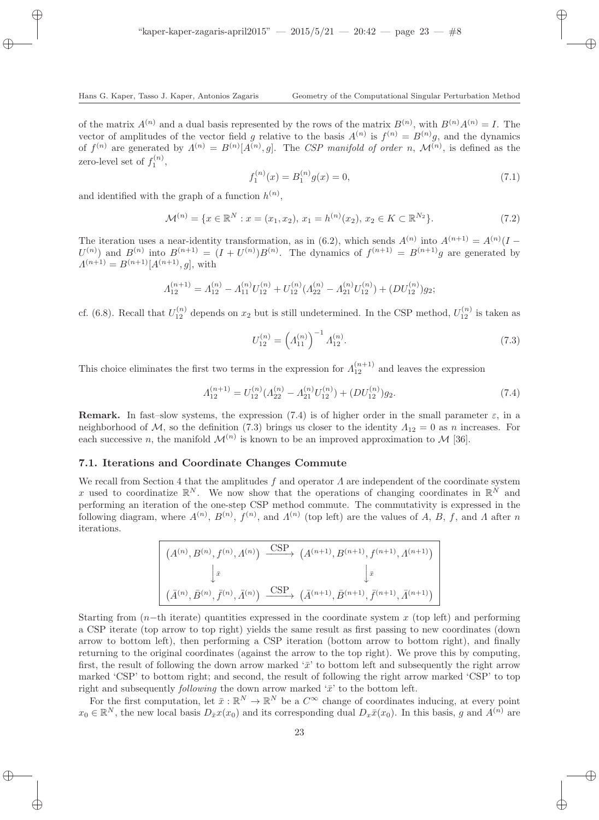of the matrix  $A^{(n)}$  and a dual basis represented by the rows of the matrix  $B^{(n)}$ , with  $B^{(n)}A^{(n)} = I$ . The vector of amplitudes of the vector field g relative to the basis  $A^{(n)}$  is  $f^{(n)} = B^{(n)}g$ , and the dynamics of  $f^{(n)}$  are generated by  $\Lambda^{(n)} = B^{(n)}[A^{(n)}, g]$ . The CSP manifold of order n,  $\mathcal{M}^{(n)}$ , is defined as the zero-level set of  $f_1^{(n)}$ ,

$$
f_1^{(n)}(x) = B_1^{(n)}g(x) = 0,
$$
\n(7.1)

and identified with the graph of a function  $h^{(n)}$ ,

$$
\mathcal{M}^{(n)} = \{ x \in \mathbb{R}^N : x = (x_1, x_2), x_1 = h^{(n)}(x_2), x_2 \in K \subset \mathbb{R}^{N_2} \}. \tag{7.2}
$$

The iteration uses a near-identity transformation, as in (6.2), which sends  $A^{(n)}$  into  $A^{(n+1)} = A^{(n)}(I U^{(n)}$  and  $B^{(n)}$  into  $B^{(n+1)} = (I + U^{(n)})B^{(n)}$ . The dynamics of  $f^{(n+1)} = B^{(n+1)}g$  are generated by  $A^{(n+1)} = B^{(n+1)}[A^{(n+1)}, g]$ , with

$$
\Lambda_{12}^{(n+1)} = \Lambda_{12}^{(n)} - \Lambda_{11}^{(n)} U_{12}^{(n)} + U_{12}^{(n)} (\Lambda_{22}^{(n)} - \Lambda_{21}^{(n)} U_{12}^{(n)}) + (DU_{12}^{(n)}) g_2;
$$

cf. (6.8). Recall that  $U_{12}^{(n)}$  depends on  $x_2$  but is still undetermined. In the CSP method,  $U_{12}^{(n)}$  is taken as

$$
U_{12}^{(n)} = \left(A_{11}^{(n)}\right)^{-1} A_{12}^{(n)}.
$$
\n(7.3)

This choice eliminates the first two terms in the expression for  $\Lambda_{12}^{(n+1)}$  and leaves the expression

$$
\Lambda_{12}^{(n+1)} = U_{12}^{(n)}(\Lambda_{22}^{(n)} - \Lambda_{21}^{(n)}U_{12}^{(n)}) + (DU_{12}^{(n)})g_2.
$$
\n(7.4)

**Remark.** In fast–slow systems, the expression (7.4) is of higher order in the small parameter  $\varepsilon$ , in a neighborhood of M, so the definition (7.3) brings us closer to the identity  $\Lambda_{12} = 0$  as n increases. For each successive n, the manifold  $\mathcal{M}^{(n)}$  is known to be an improved approximation to  $\mathcal{M}$  [36].

#### 7.1. Iterations and Coordinate Changes Commute

We recall from Section 4 that the amplitudes f and operator  $\Lambda$  are independent of the coordinate system x used to coordinatize  $\mathbb{R}^N$ . We now show that the operations of changing coordinates in  $\mathbb{R}^N$  and performing an iteration of the one-step CSP method commute. The commutativity is expressed in the following diagram, where  $A^{(n)}$ ,  $B^{(n)}$ ,  $f^{(n)}$ , and  $\Lambda^{(n)}$  (top left) are the values of A, B, f, and A after n iterations.

$$
(A^{(n)}, B^{(n)}, f^{(n)}, A^{(n)}) \xrightarrow{\text{CSP}} (A^{(n+1)}, B^{(n+1)}, f^{(n+1)}, A^{(n+1)})
$$

$$
\downarrow \bar{x}
$$

$$
(\bar{A}^{(n)}, \bar{B}^{(n)}, \bar{f}^{(n)}, \bar{A}^{(n)}) \xrightarrow{\text{CSP}} (\bar{A}^{(n+1)}, \bar{B}^{(n+1)}, \bar{f}^{(n+1)}, \bar{A}^{(n+1)})
$$

Starting from  $(n-$ th iterate) quantities expressed in the coordinate system x (top left) and performing a CSP iterate (top arrow to top right) yields the same result as first passing to new coordinates (down arrow to bottom left), then performing a CSP iteration (bottom arrow to bottom right), and finally returning to the original coordinates (against the arrow to the top right). We prove this by computing, first, the result of following the down arrow marked ' $\bar{x}$ ' to bottom left and subsequently the right arrow marked 'CSP' to bottom right; and second, the result of following the right arrow marked 'CSP' to top right and subsequently *following* the down arrow marked  $\tilde{x}$  to the bottom left.

For the first computation, let  $\bar{x}: \mathbb{R}^N \to \mathbb{R}^N$  be a  $C^{\infty}$  change of coordinates inducing, at every point  $x_0 \in \mathbb{R}^N$ , the new local basis  $D_{\bar{x}}x(x_0)$  and its corresponding dual  $D_x\bar{x}(x_0)$ . In this basis, g and  $A^{(n)}$  are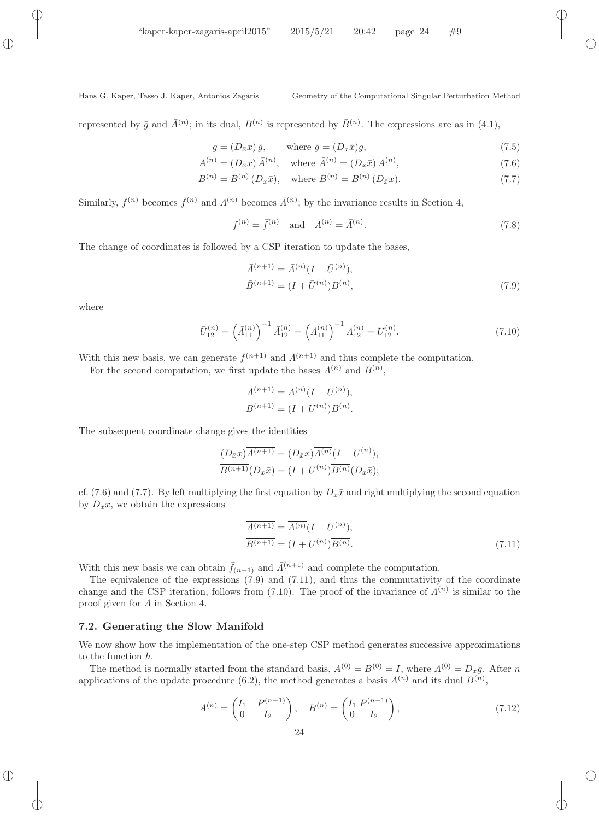represented by  $\bar{g}$  and  $\bar{A}^{(n)}$ ; in its dual,  $B^{(n)}$  is represented by  $\bar{B}^{(n)}$ . The expressions are as in (4.1),

$$
g = (D_{\bar{x}}x)\bar{g}, \qquad \text{where } \bar{g} = (D_x\bar{x})g,
$$
\n
$$
(7.5)
$$

$$
A^{(n)} = (D_{\bar{x}}x) \,\bar{A}^{(n)}, \quad \text{where } \bar{A}^{(n)} = (D_x \bar{x}) A^{(n)}, \tag{7.6}
$$

$$
B^{(n)} = \bar{B}^{(n)}(D_x\bar{x}), \text{ where } \bar{B}^{(n)} = B^{(n)}(D_{\bar{x}}x). \tag{7.7}
$$

Similarly,  $f^{(n)}$  becomes  $\bar{f}^{(n)}$  and  $\Lambda^{(n)}$  becomes  $\bar{\Lambda}^{(n)}$ ; by the invariance results in Section 4,

$$
f^{(n)} = \bar{f}^{(n)} \text{ and } \Lambda^{(n)} = \bar{\Lambda}^{(n)}.
$$
 (7.8)

The change of coordinates is followed by a CSP iteration to update the bases,

$$
\bar{A}^{(n+1)} = \bar{A}^{(n)}(I - \bar{U}^{(n)}), \n\bar{B}^{(n+1)} = (I + \bar{U}^{(n)})B^{(n)},
$$
\n(7.9)

where

$$
\bar{U}_{12}^{(n)} = \left(\bar{A}_{11}^{(n)}\right)^{-1} \bar{A}_{12}^{(n)} = \left(A_{11}^{(n)}\right)^{-1} A_{12}^{(n)} = U_{12}^{(n)}.
$$
\n(7.10)

With this new basis, we can generate  $\bar{f}^{(n+1)}$  and  $\bar{A}^{(n+1)}$  and thus complete the computation.

For the second computation, we first update the bases  $A^{(n)}$  and  $B^{(n)}$ ,

$$
A^{(n+1)} = A^{(n)}(I - U^{(n)}),
$$
  

$$
B^{(n+1)} = (I + U^{(n)})B^{(n)}.
$$

The subsequent coordinate change gives the identities

$$
\frac{(D_{\bar{x}}x)\overline{A^{(n+1)}} = (D_{\bar{x}}x)\overline{A^{(n)}}(I - U^{(n)}),
$$
  

$$
\overline{B^{(n+1)}}(D_x\bar{x}) = (I + U^{(n)})\overline{B^{(n)}}(D_x\bar{x});
$$

cf. (7.6) and (7.7). By left multiplying the first equation by  $D_x\bar{x}$  and right multiplying the second equation by  $D_{\bar{x}}x$ , we obtain the expressions

$$
\overline{A^{(n+1)}} = \overline{A^{(n)}} (I - U^{(n)}),
$$
  
\n
$$
\overline{B^{(n+1)}} = (I + U^{(n)}) \overline{B^{(n)}}.
$$
\n(7.11)

With this new basis we can obtain  $\bar{f}_{(n+1)}$  and  $\bar{\Lambda}^{(n+1)}$  and complete the computation.

The equivalence of the expressions  $(7.9)$  and  $(7.11)$ , and thus the commutativity of the coordinate change and the CSP iteration, follows from (7.10). The proof of the invariance of  $\Lambda^{(n)}$  is similar to the proof given for  $\Lambda$  in Section 4.

#### 7.2. Generating the Slow Manifold

We now show how the implementation of the one-step CSP method generates successive approximations to the function h.

The method is normally started from the standard basis,  $A^{(0)} = B^{(0)} = I$ , where  $A^{(0)} = D_x g$ . After n applications of the update procedure (6.2), the method generates a basis  $A^{(n)}$  and its dual  $B^{(n)}$ ,

$$
A^{(n)} = \begin{pmatrix} I_1 & -P^{(n-1)} \\ 0 & I_2 \end{pmatrix}, \quad B^{(n)} = \begin{pmatrix} I_1 & P^{(n-1)} \\ 0 & I_2 \end{pmatrix}, \tag{7.12}
$$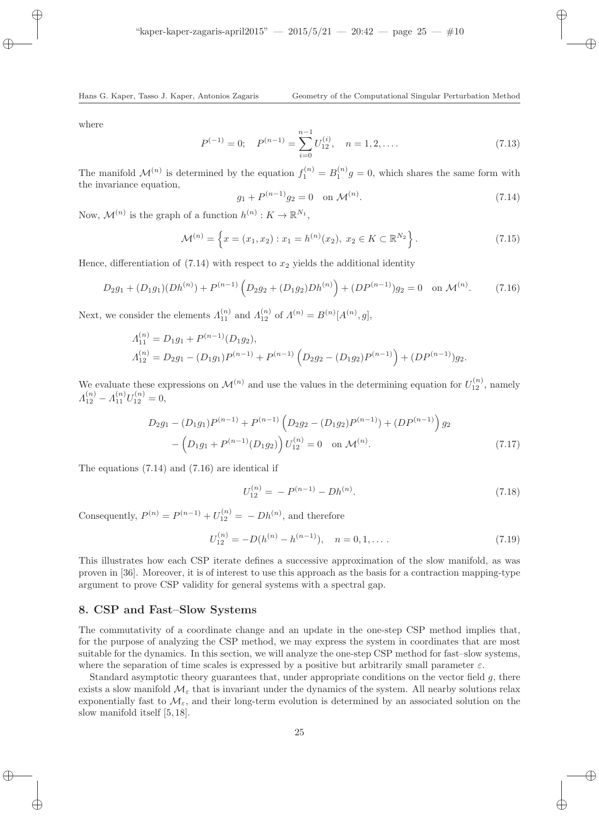where

$$
P^{(-1)} = 0; \quad P^{(n-1)} = \sum_{i=0}^{n-1} U_{12}^{(i)}, \quad n = 1, 2, .... \tag{7.13}
$$

The manifold  $\mathcal{M}^{(n)}$  is determined by the equation  $f_1^{(n)} = B_1^{(n)} g = 0$ , which shares the same form with the invariance equation,

$$
g_1 + P^{(n-1)}g_2 = 0 \quad \text{on } \mathcal{M}^{(n)}.
$$
 (7.14)

Now,  $\mathcal{M}^{(n)}$  is the graph of a function  $h^{(n)}: K \to \mathbb{R}^{N_1}$ ,

$$
\mathcal{M}^{(n)} = \left\{ x = (x_1, x_2) : x_1 = h^{(n)}(x_2), \ x_2 \in K \subset \mathbb{R}^{N_2} \right\}.
$$
 (7.15)

Hence, differentiation of  $(7.14)$  with respect to  $x_2$  yields the additional identity

$$
D_2 g_1 + (D_1 g_1)(Dh^{(n)}) + P^{(n-1)}\left(D_2 g_2 + (D_1 g_2)Dh^{(n)}\right) + (DP^{(n-1)})g_2 = 0 \quad \text{on } \mathcal{M}^{(n)}.
$$
 (7.16)

Next, we consider the elements  $\Lambda_{11}^{(n)}$  and  $\Lambda_{12}^{(n)}$  of  $\Lambda^{(n)} = B^{(n)}[A^{(n)}, g]$ ,

$$
A_{11}^{(n)} = D_1 g_1 + P^{(n-1)}(D_1 g_2),
$$
  
\n
$$
A_{12}^{(n)} = D_2 g_1 - (D_1 g_1) P^{(n-1)} + P^{(n-1)} (D_2 g_2 - (D_1 g_2) P^{(n-1)}) + (D P^{(n-1)}) g_2.
$$

We evaluate these expressions on  $\mathcal{M}^{(n)}$  and use the values in the determining equation for  $U_{12}^{(n)}$ , namely  $\Lambda_{12}^{(n)} - \Lambda_{11}^{(n)} U_{12}^{(n)} = 0,$ 

$$
D_2 g_1 - (D_1 g_1) P^{(n-1)} + P^{(n-1)} (D_2 g_2 - (D_1 g_2) P^{(n-1)}) + (D P^{(n-1)}) g_2
$$
  
- 
$$
(D_1 g_1 + P^{(n-1)} (D_1 g_2)) U_{12}^{(n)} = 0 \text{ on } \mathcal{M}^{(n)}.
$$
 (7.17)

The equations (7.14) and (7.16) are identical if

$$
U_{12}^{(n)} = -P^{(n-1)} - Dh^{(n)}.
$$
\n(7.18)

Consequently,  $P^{(n)} = P^{(n-1)} + U_{12}^{(n)} = - Dh^{(n)}$ , and therefore

$$
U_{12}^{(n)} = -D(h^{(n)} - h^{(n-1)}), \quad n = 0, 1, \dots
$$
\n(7.19)

This illustrates how each CSP iterate defines a successive approximation of the slow manifold, as was proven in [36]. Moreover, it is of interest to use this approach as the basis for a contraction mapping-type argument to prove CSP validity for general systems with a spectral gap.

# 8. CSP and Fast–Slow Systems

The commutativity of a coordinate change and an update in the one-step CSP method implies that, for the purpose of analyzing the CSP method, we may express the system in coordinates that are most suitable for the dynamics. In this section, we will analyze the one-step CSP method for fast–slow systems, where the separation of time scales is expressed by a positive but arbitrarily small parameter  $\varepsilon$ .

Standard asymptotic theory guarantees that, under appropriate conditions on the vector field g, there exists a slow manifold  $\mathcal{M}_{\varepsilon}$  that is invariant under the dynamics of the system. All nearby solutions relax exponentially fast to  $\mathcal{M}_{\varepsilon}$ , and their long-term evolution is determined by an associated solution on the slow manifold itself [5, 18].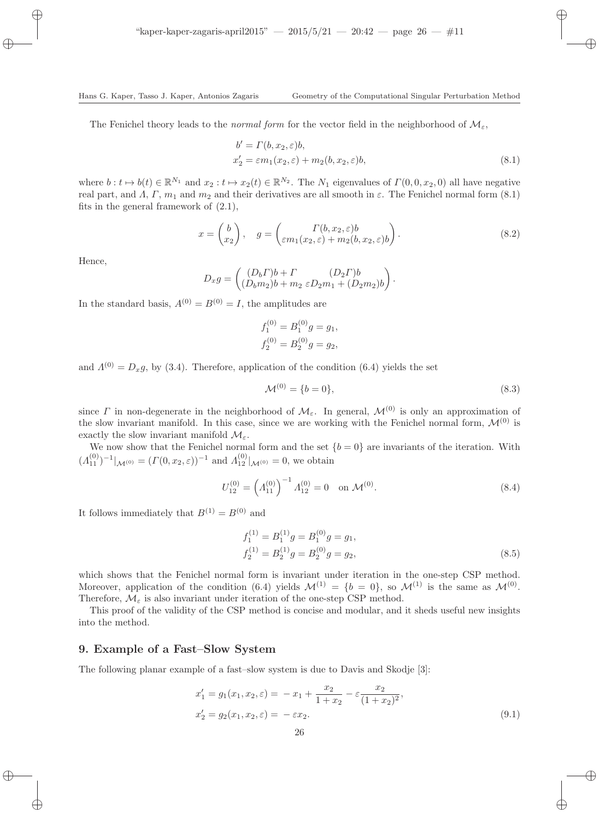The Fenichel theory leads to the normal form for the vector field in the neighborhood of  $\mathcal{M}_{\varepsilon}$ ,

$$
b' = \Gamma(b, x_2, \varepsilon)b,
$$
  
\n
$$
x'_2 = \varepsilon m_1(x_2, \varepsilon) + m_2(b, x_2, \varepsilon)b,
$$
\n(8.1)

where  $b: t \mapsto b(t) \in \mathbb{R}^{N_1}$  and  $x_2: t \mapsto x_2(t) \in \mathbb{R}^{N_2}$ . The  $N_1$  eigenvalues of  $\Gamma(0, 0, x_2, 0)$  all have negative real part, and  $\Lambda$ ,  $\Gamma$ ,  $m_1$  and  $m_2$  and their derivatives are all smooth in  $\varepsilon$ . The Fenichel normal form (8.1) fits in the general framework of (2.1),

$$
x = \begin{pmatrix} b \\ x_2 \end{pmatrix}, \quad g = \begin{pmatrix} \Gamma(b, x_2, \varepsilon)b \\ \varepsilon m_1(x_2, \varepsilon) + m_2(b, x_2, \varepsilon)b \end{pmatrix}.
$$
 (8.2)

Hence,

$$
D_x g = \begin{pmatrix} (D_b \Gamma)b + \Gamma & (D_2 \Gamma)b \\ (D_b m_2)b + m_2 \varepsilon D_2 m_1 + (D_2 m_2)b \end{pmatrix}.
$$

In the standard basis,  $A^{(0)} = B^{(0)} = I$ , the amplitudes are

$$
f_1^{(0)} = B_1^{(0)}g = g_1,
$$
  

$$
f_2^{(0)} = B_2^{(0)}g = g_2,
$$

and  $\Lambda^{(0)} = D_x g$ , by (3.4). Therefore, application of the condition (6.4) yields the set

$$
\mathcal{M}^{(0)} = \{b = 0\},\tag{8.3}
$$

since Γ in non-degenerate in the neighborhood of  $\mathcal{M}_{\varepsilon}$ . In general,  $\mathcal{M}^{(0)}$  is only an approximation of the slow invariant manifold. In this case, since we are working with the Fenichel normal form,  $\mathcal{M}^{(0)}$  is exactly the slow invariant manifold  $\mathcal{M}_{\varepsilon}$ .

We now show that the Fenichel normal form and the set  $\{b = 0\}$  are invariants of the iteration. With  $(A_{11}^{(0)})^{-1}|_{\mathcal{M}^{(0)}} = (\Gamma(0, x_2, \varepsilon))^{-1}$  and  $A_{12}^{(0)}|_{\mathcal{M}^{(0)}} = 0$ , we obtain

$$
U_{12}^{(0)} = \left(A_{11}^{(0)}\right)^{-1} A_{12}^{(0)} = 0 \quad \text{on } \mathcal{M}^{(0)}.
$$
 (8.4)

It follows immediately that  $B^{(1)} = B^{(0)}$  and

$$
f_1^{(1)} = B_1^{(1)}g = B_1^{(0)}g = g_1,
$$
  
\n
$$
f_2^{(1)} = B_2^{(1)}g = B_2^{(0)}g = g_2,
$$
\n(8.5)

which shows that the Fenichel normal form is invariant under iteration in the one-step CSP method. Moreover, application of the condition (6.4) yields  $\mathcal{M}^{(1)} = \{b = 0\}$ , so  $\mathcal{M}^{(1)}$  is the same as  $\mathcal{M}^{(0)}$ . Therefore,  $\mathcal{M}_{\varepsilon}$  is also invariant under iteration of the one-step CSP method.

This proof of the validity of the CSP method is concise and modular, and it sheds useful new insights into the method.

### 9. Example of a Fast–Slow System

The following planar example of a fast–slow system is due to Davis and Skodje [3]:

$$
x'_1 = g_1(x_1, x_2, \varepsilon) = -x_1 + \frac{x_2}{1 + x_2} - \varepsilon \frac{x_2}{(1 + x_2)^2},
$$
  
\n
$$
x'_2 = g_2(x_1, x_2, \varepsilon) = -\varepsilon x_2.
$$
\n(9.1)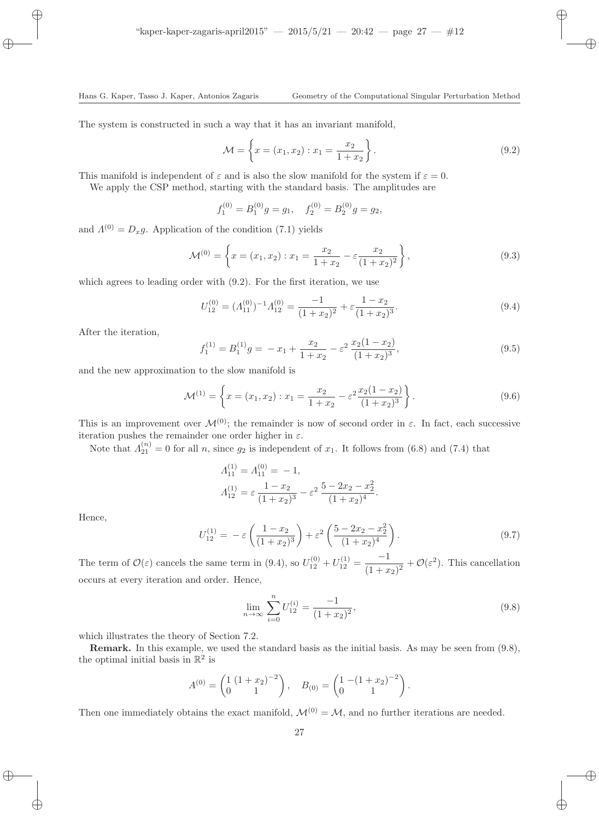The system is constructed in such a way that it has an invariant manifold,

$$
\mathcal{M} = \left\{ x = (x_1, x_2) : x_1 = \frac{x_2}{1 + x_2} \right\}.
$$
\n(9.2)

This manifold is independent of  $\varepsilon$  and is also the slow manifold for the system if  $\varepsilon = 0$ .

We apply the CSP method, starting with the standard basis. The amplitudes are

$$
f_1^{(0)} = B_1^{(0)}g = g_1
$$
,  $f_2^{(0)} = B_2^{(0)}g = g_2$ ,

and  $\Lambda^{(0)} = D_x g$ . Application of the condition (7.1) yields

$$
\mathcal{M}^{(0)} = \left\{ x = (x_1, x_2) : x_1 = \frac{x_2}{1 + x_2} - \varepsilon \frac{x_2}{(1 + x_2)^2} \right\},\tag{9.3}
$$

which agrees to leading order with (9.2). For the first iteration, we use

$$
U_{12}^{(0)} = (A_{11}^{(0)})^{-1} A_{12}^{(0)} = \frac{-1}{(1+x_2)^2} + \varepsilon \frac{1-x_2}{(1+x_2)^3}.
$$
\n(9.4)

After the iteration,

$$
f_1^{(1)} = B_1^{(1)}g = -x_1 + \frac{x_2}{1+x_2} - \varepsilon^2 \frac{x_2(1-x_2)}{(1+x_2)^3},\tag{9.5}
$$

and the new approximation to the slow manifold is

$$
\mathcal{M}^{(1)} = \left\{ x = (x_1, x_2) : x_1 = \frac{x_2}{1 + x_2} - \varepsilon^2 \frac{x_2 (1 - x_2)}{(1 + x_2)^3} \right\}.
$$
\n(9.6)

This is an improvement over  $\mathcal{M}^{(0)}$ ; the remainder is now of second order in  $\varepsilon$ . In fact, each successive iteration pushes the remainder one order higher in  $\varepsilon$ .

Note that  $\Lambda_{21}^{(n)}=0$  for all n, since  $g_2$  is independent of  $x_1$ . It follows from (6.8) and (7.4) that

$$
A_{11}^{(1)} = A_{11}^{(0)} = -1,
$$
  
\n
$$
A_{12}^{(1)} = \varepsilon \frac{1 - x_2}{(1 + x_2)^3} - \varepsilon^2 \frac{5 - 2x_2 - x_2^2}{(1 + x_2)^4}.
$$

Hence,

$$
U_{12}^{(1)} = -\varepsilon \left( \frac{1 - x_2}{(1 + x_2)^3} \right) + \varepsilon^2 \left( \frac{5 - 2x_2 - x_2^2}{(1 + x_2)^4} \right). \tag{9.7}
$$

The term of  $\mathcal{O}(\varepsilon)$  cancels the same term in (9.4), so  $U_{12}^{(0)} + U_{12}^{(1)} = \frac{-1}{(1+x)}$  $\frac{-1}{(1+x_2)^2} + \mathcal{O}(\varepsilon^2)$ . This cancellation occurs at every iteration and order. Hence,

$$
\lim_{n \to \infty} \sum_{i=0}^{n} U_{12}^{(i)} = \frac{-1}{(1+x_2)^2},\tag{9.8}
$$

which illustrates the theory of Section 7.2.

Remark. In this example, we used the standard basis as the initial basis. As may be seen from (9.8), the optimal initial basis in  $\mathbb{R}^2$  is

$$
A^{(0)} = \begin{pmatrix} 1 & (1+x_2)^{-2} \\ 0 & 1 \end{pmatrix}, \quad B_{(0)} = \begin{pmatrix} 1 & -(1+x_2)^{-2} \\ 0 & 1 \end{pmatrix}.
$$

Then one immediately obtains the exact manifold,  $\mathcal{M}^{(0)} = \mathcal{M}$ , and no further iterations are needed.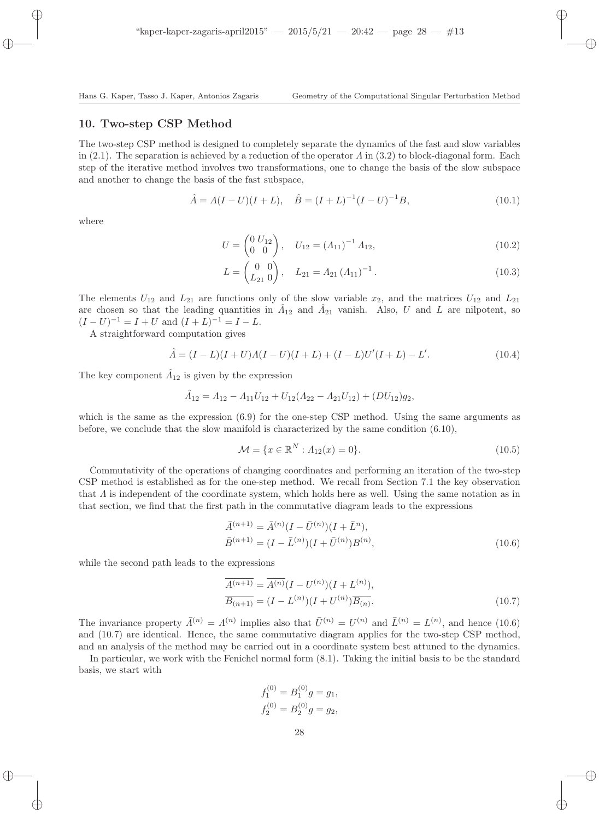## 10. Two-step CSP Method

The two-step CSP method is designed to completely separate the dynamics of the fast and slow variables in (2.1). The separation is achieved by a reduction of the operator  $\Lambda$  in (3.2) to block-diagonal form. Each step of the iterative method involves two transformations, one to change the basis of the slow subspace and another to change the basis of the fast subspace,

$$
\hat{A} = A(I - U)(I + L), \quad \hat{B} = (I + L)^{-1}(I - U)^{-1}B,
$$
\n(10.1)

where

$$
U = \begin{pmatrix} 0 & U_{12} \\ 0 & 0 \end{pmatrix}, \quad U_{12} = \left(A_{11}\right)^{-1} A_{12}, \tag{10.2}
$$

$$
L = \begin{pmatrix} 0 & 0 \\ L_{21} & 0 \end{pmatrix}, \quad L_{21} = A_{21} (A_{11})^{-1}.
$$
 (10.3)

The elements  $U_{12}$  and  $L_{21}$  are functions only of the slow variable  $x_2$ , and the matrices  $U_{12}$  and  $L_{21}$ are chosen so that the leading quantities in  $\hat{A}_{12}$  and  $\hat{A}_{21}$  vanish. Also, U and L are nilpotent, so  $(I-U)^{-1} = I + U$  and  $(I+L)^{-1} = I - L$ .

A straightforward computation gives

$$
\hat{A} = (I - L)(I + U)A(I - U)(I + L) + (I - L)U'(I + L) - L'.
$$
\n(10.4)

The key component  $\hat{A}_{12}$  is given by the expression

$$
\hat{A}_{12} = A_{12} - A_{11}U_{12} + U_{12}(A_{22} - A_{21}U_{12}) + (DU_{12})g_2,
$$

which is the same as the expression  $(6.9)$  for the one-step CSP method. Using the same arguments as before, we conclude that the slow manifold is characterized by the same condition (6.10),

$$
\mathcal{M} = \{x \in \mathbb{R}^N : A_{12}(x) = 0\}.
$$
\n(10.5)

Commutativity of the operations of changing coordinates and performing an iteration of the two-step CSP method is established as for the one-step method. We recall from Section 7.1 the key observation that  $\Lambda$  is independent of the coordinate system, which holds here as well. Using the same notation as in that section, we find that the first path in the commutative diagram leads to the expressions

$$
\begin{aligned}\n\bar{A}^{(n+1)} &= \bar{A}^{(n)} (I - \bar{U}^{(n)}) (I + \bar{L}^n), \\
\bar{B}^{(n+1)} &= (I - \bar{L}^{(n)}) (I + \bar{U}^{(n)}) B^{(n)},\n\end{aligned} \tag{10.6}
$$

while the second path leads to the expressions

$$
\overline{A^{(n+1)}} = \overline{A^{(n)}} (I - U^{(n)})(I + L^{(n)}),
$$
  
\n
$$
\overline{B_{(n+1)}} = (I - L^{(n)})(I + U^{(n)}) \overline{B_{(n)}}.
$$
\n(10.7)

The invariance property  $\bar{\Lambda}^{(n)} = \Lambda^{(n)}$  implies also that  $\bar{U}^{(n)} = U^{(n)}$  and  $\bar{L}^{(n)} = L^{(n)}$ , and hence (10.6) and (10.7) are identical. Hence, the same commutative diagram applies for the two-step CSP method, and an analysis of the method may be carried out in a coordinate system best attuned to the dynamics.

In particular, we work with the Fenichel normal form (8.1). Taking the initial basis to be the standard basis, we start with

$$
f_1^{(0)} = B_1^{(0)}g = g_1,
$$
  

$$
f_2^{(0)} = B_2^{(0)}g = g_2,
$$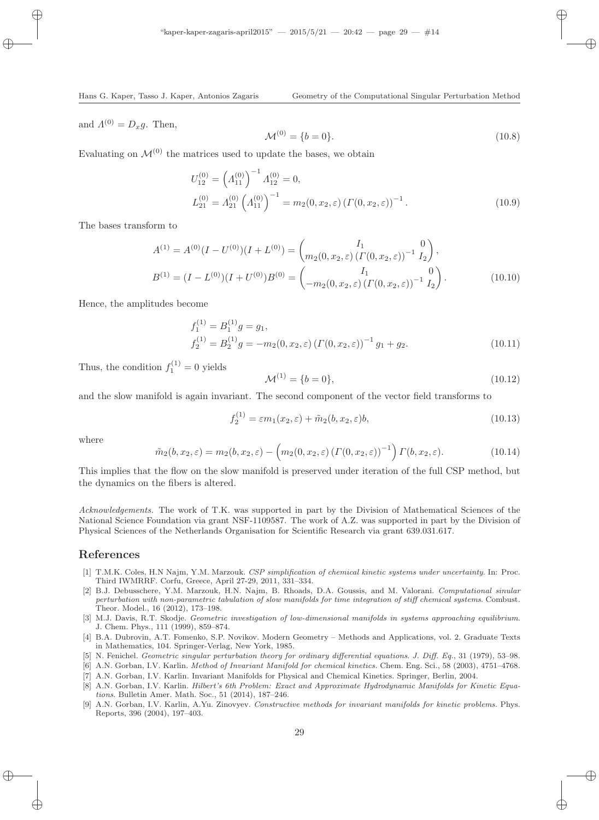and  $\Lambda^{(0)} = D_x g$ . Then,

$$
\mathcal{M}^{(0)} = \{b = 0\}.\tag{10.8}
$$

Evaluating on  $\mathcal{M}^{(0)}$  the matrices used to update the bases, we obtain

$$
U_{12}^{(0)} = \left(A_{11}^{(0)}\right)^{-1} A_{12}^{(0)} = 0,
$$
  
\n
$$
L_{21}^{(0)} = A_{21}^{(0)} \left(A_{11}^{(0)}\right)^{-1} = m_2(0, x_2, \varepsilon) \left(\Gamma(0, x_2, \varepsilon)\right)^{-1}.
$$
\n(10.9)

The bases transform to

$$
A^{(1)} = A^{(0)}(I - U^{(0)})(I + L^{(0)}) = {I_1 \choose m_2(0, x_2, \varepsilon) (I'(0, x_2, \varepsilon))} {I_1 \choose I_2},
$$
  
\n
$$
B^{(1)} = (I - L^{(0)})(I + U^{(0)})B^{(0)} = {I_1 \choose -m_2(0, x_2, \varepsilon) (I'(0, x_2, \varepsilon))} {I_2 \choose I_2}.
$$
\n(10.10)

Hence, the amplitudes become

$$
f_1^{(1)} = B_1^{(1)}g = g_1,
$$
  
\n
$$
f_2^{(1)} = B_2^{(1)}g = -m_2(0, x_2, \varepsilon) \left(\Gamma(0, x_2, \varepsilon)\right)^{-1} g_1 + g_2.
$$
\n(10.11)

Thus, the condition  $f_1^{(1)} = 0$  yields

$$
\mathcal{M}^{(1)} = \{b = 0\},\tag{10.12}
$$

and the slow manifold is again invariant. The second component of the vector field transforms to

$$
f_2^{(1)} = \varepsilon m_1(x_2, \varepsilon) + \tilde{m}_2(b, x_2, \varepsilon)b,
$$
\n(10.13)

where

$$
\tilde{m}_2(b, x_2, \varepsilon) = m_2(b, x_2, \varepsilon) - \left(m_2(0, x_2, \varepsilon) \left(\Gamma(0, x_2, \varepsilon)\right)^{-1}\right) \Gamma(b, x_2, \varepsilon). \tag{10.14}
$$

This implies that the flow on the slow manifold is preserved under iteration of the full CSP method, but the dynamics on the fibers is altered.

Acknowledgements. The work of T.K. was supported in part by the Division of Mathematical Sciences of the National Science Foundation via grant NSF-1109587. The work of A.Z. was supported in part by the Division of Physical Sciences of the Netherlands Organisation for Scientific Research via grant 639.031.617.

# References

- [1] T.M.K. Coles, H.N Najm, Y.M. Marzouk. CSP simplification of chemical kinetic systems under uncertainty. In: Proc. Third IWMRRF. Corfu, Greece, April 27-29, 2011, 331–334.
- [2] B.J. Debusschere, Y.M. Marzouk, H.N. Najm, B. Rhoads, D.A. Goussis, and M. Valorani. Computational sinular perturbation with non-parametric tabulation of slow manifolds for time integration of stiff chemical systems. Combust. Theor. Model., 16 (2012), 173–198.
- [3] M.J. Davis, R.T. Skodje. Geometric investigation of low-dimensional manifolds in systems approaching equilibrium. J. Chem. Phys., 111 (1999), 859–874.
- [4] B.A. Dubrovin, A.T. Fomenko, S.P. Novikov. Modern Geometry Methods and Applications, vol. 2. Graduate Texts in Mathematics, 104. Springer-Verlag, New York, 1985.
- [5] N. Fenichel. Geometric singular perturbation theory for ordinary differential equations. J. Diff. Eq., 31 (1979), 53–98.
- [6] A.N. Gorban, I.V. Karlin. Method of Invariant Manifold for chemical kinetics. Chem. Eng. Sci., 58 (2003), 4751–4768.
- [7] A.N. Gorban, I.V. Karlin. Invariant Manifolds for Physical and Chemical Kinetics. Springer, Berlin, 2004.
- [8] A.N. Gorban, I.V. Karlin. Hilbert's 6th Problem: Exact and Approximate Hydrodynamic Manifolds for Kinetic Equations. Bulletin Amer. Math. Soc., 51 (2014), 187–246.
- [9] A.N. Gorban, I.V. Karlin, A.Yu. Zinovyev. Constructive methods for invariant manifolds for kinetic problems. Phys. Reports, 396 (2004), 197–403.